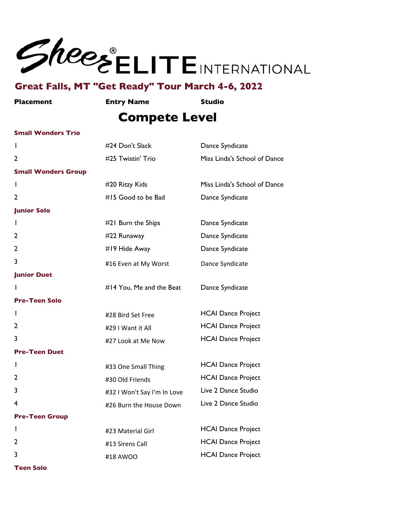

**Placement Entry Name Studio**

# **Compete Level**

### **Small Wonders Trio**

| I                          | #24 Don't Slack             | Dance Syndicate              |
|----------------------------|-----------------------------|------------------------------|
| 2                          | #25 Twistin' Trio           | Miss Linda's School of Dance |
| <b>Small Wonders Group</b> |                             |                              |
| $\mathbf{I}$               | #20 Ritzy Kids              | Miss Linda's School of Dance |
| 2                          | #15 Good to be Bad          | Dance Syndicate              |
| <b>Junior Solo</b>         |                             |                              |
| L                          | #21 Burn the Ships          | Dance Syndicate              |
| 2                          | #22 Runaway                 | Dance Syndicate              |
| 2                          | #19 Hide Away               | Dance Syndicate              |
| 3                          | #16 Even at My Worst        | Dance Syndicate              |
| <b>Junior Duet</b>         |                             |                              |
| L                          | #14 You, Me and the Beat    | Dance Syndicate              |
| <b>Pre-Teen Solo</b>       |                             |                              |
| L                          | #28 Bird Set Free           | <b>HCAI Dance Project</b>    |
| 2                          | #29 I Want it All           | <b>HCAI Dance Project</b>    |
| 3                          | #27 Look at Me Now          | <b>HCAI Dance Project</b>    |
| <b>Pre-Teen Duet</b>       |                             |                              |
| L                          | #33 One Small Thing         | <b>HCAI Dance Project</b>    |
| 2                          | #30 Old Friends             | <b>HCAI Dance Project</b>    |
| 3                          | #32 I Won't Say I'm In Love | Live 2 Dance Studio          |
| 4                          | #26 Burn the House Down     | Live 2 Dance Studio          |
| <b>Pre-Teen Group</b>      |                             |                              |
| $\mathbf{I}$               | #23 Material Girl           | <b>HCAI Dance Project</b>    |
| 2                          | #13 Sirens Call             | <b>HCAI Dance Project</b>    |
| 3                          | #18 AWOO                    | <b>HCAI Dance Project</b>    |
|                            |                             |                              |

**Teen Solo**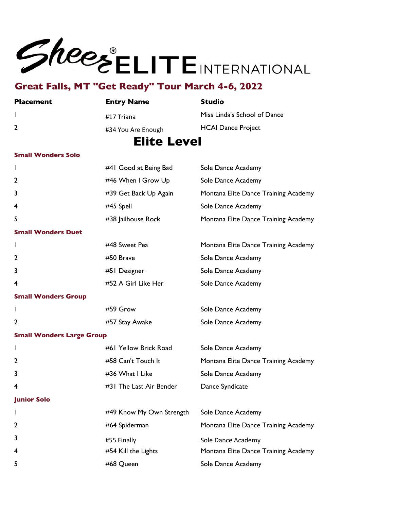

| <b>Placement</b>          | <b>Entry Name</b>  | <b>Studio</b>                |
|---------------------------|--------------------|------------------------------|
|                           | #17 Triana         | Miss Linda's School of Dance |
| $\overline{2}$            | #34 You Are Enough | <b>HCAI Dance Project</b>    |
|                           | <b>Elite Level</b> |                              |
| <b>Cmall Wandors Sala</b> |                    |                              |

### **Small Wonders Solo**

| I                                | #41 Good at Being Bad    | Sole Dance Academy                   |
|----------------------------------|--------------------------|--------------------------------------|
| $\overline{2}$                   | #46 When I Grow Up       | Sole Dance Academy                   |
| 3                                | #39 Get Back Up Again    | Montana Elite Dance Training Academy |
| 4                                | #45 Spell                | Sole Dance Academy                   |
| 5                                | #38 Jailhouse Rock       | Montana Elite Dance Training Academy |
| <b>Small Wonders Duet</b>        |                          |                                      |
| I                                | #48 Sweet Pea            | Montana Elite Dance Training Academy |
| $\overline{2}$                   | #50 Brave                | Sole Dance Academy                   |
| 3                                | #51 Designer             | Sole Dance Academy                   |
| 4                                | #52 A Girl Like Her      | Sole Dance Academy                   |
| <b>Small Wonders Group</b>       |                          |                                      |
| I                                | #59 Grow                 | Sole Dance Academy                   |
| $\overline{2}$                   | #57 Stay Awake           | Sole Dance Academy                   |
| <b>Small Wonders Large Group</b> |                          |                                      |
| I                                | #61 Yellow Brick Road    | Sole Dance Academy                   |
| 2                                | #58 Can't Touch It       | Montana Elite Dance Training Academy |
| 3                                | #36 What I Like          | Sole Dance Academy                   |
| 4                                | #31 The Last Air Bender  | Dance Syndicate                      |
| <b>Junior Solo</b>               |                          |                                      |
| I                                | #49 Know My Own Strength | Sole Dance Academy                   |
| 2                                | #64 Spiderman            | Montana Elite Dance Training Academy |
| 3                                | #55 Finally              | Sole Dance Academy                   |
| 4                                | #54 Kill the Lights      | Montana Elite Dance Training Academy |
| 5                                | #68 Queen                | Sole Dance Academy                   |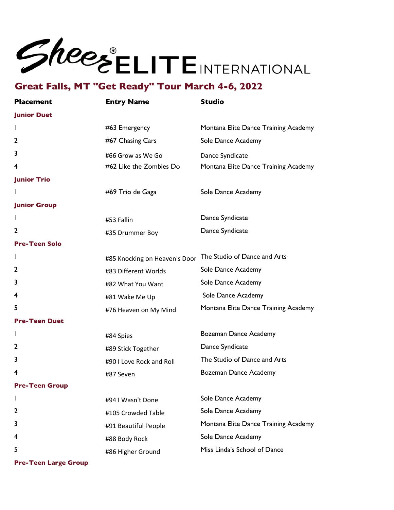

| <b>Placement</b>      | <b>Entry Name</b>             | <b>Studio</b>                        |
|-----------------------|-------------------------------|--------------------------------------|
| <b>Junior Duet</b>    |                               |                                      |
| L                     | #63 Emergency                 | Montana Elite Dance Training Academy |
| 2                     | #67 Chasing Cars              | Sole Dance Academy                   |
| 3                     | #66 Grow as We Go             | Dance Syndicate                      |
| 4                     | #62 Like the Zombies Do       | Montana Elite Dance Training Academy |
| <b>Junior Trio</b>    |                               |                                      |
| L                     | #69 Trio de Gaga              | Sole Dance Academy                   |
| <b>Junior Group</b>   |                               |                                      |
|                       | #53 Fallin                    | Dance Syndicate                      |
| 2                     | #35 Drummer Boy               | Dance Syndicate                      |
| <b>Pre-Teen Solo</b>  |                               |                                      |
|                       | #85 Knocking on Heaven's Door | The Studio of Dance and Arts         |
| 2                     | #83 Different Worlds          | Sole Dance Academy                   |
| 3                     | #82 What You Want             | Sole Dance Academy                   |
| 4                     | #81 Wake Me Up                | Sole Dance Academy                   |
| 5                     | #76 Heaven on My Mind         | Montana Elite Dance Training Academy |
| <b>Pre-Teen Duet</b>  |                               |                                      |
|                       | #84 Spies                     | Bozeman Dance Academy                |
| 2                     | #89 Stick Together            | Dance Syndicate                      |
| 3                     | #90 I Love Rock and Roll      | The Studio of Dance and Arts         |
| 4                     | #87 Seven                     | <b>Bozeman Dance Academy</b>         |
| <b>Pre-Teen Group</b> |                               |                                      |
| L                     | #94 I Wasn't Done             | Sole Dance Academy                   |
| 2                     | #105 Crowded Table            | Sole Dance Academy                   |
| 3                     | #91 Beautiful People          | Montana Elite Dance Training Academy |
| 4                     | #88 Body Rock                 | Sole Dance Academy                   |
| 5                     | #86 Higher Ground             | Miss Linda's School of Dance         |

**Pre-Teen Large Group**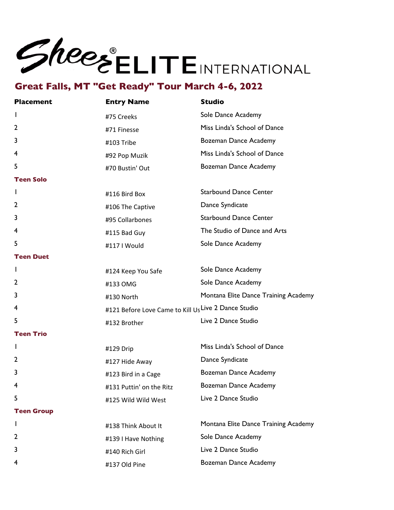

| <b>Placement</b>  | <b>Entry Name</b>                                    | <b>Studio</b>                        |
|-------------------|------------------------------------------------------|--------------------------------------|
| $\mathbf{I}$      | #75 Creeks                                           | Sole Dance Academy                   |
| 2                 | #71 Finesse                                          | Miss Linda's School of Dance         |
| 3                 | #103 Tribe                                           | <b>Bozeman Dance Academy</b>         |
| 4                 | #92 Pop Muzik                                        | Miss Linda's School of Dance         |
| 5                 | #70 Bustin' Out                                      | <b>Bozeman Dance Academy</b>         |
| <b>Teen Solo</b>  |                                                      |                                      |
| L                 | #116 Bird Box                                        | <b>Starbound Dance Center</b>        |
| 2                 | #106 The Captive                                     | Dance Syndicate                      |
| 3                 | #95 Collarbones                                      | <b>Starbound Dance Center</b>        |
| 4                 | #115 Bad Guy                                         | The Studio of Dance and Arts         |
| 5                 | #117   Would                                         | Sole Dance Academy                   |
| <b>Teen Duet</b>  |                                                      |                                      |
| L                 | #124 Keep You Safe                                   | Sole Dance Academy                   |
| 2                 | #133 OMG                                             | Sole Dance Academy                   |
| 3                 | #130 North                                           | Montana Elite Dance Training Academy |
| 4                 | #121 Before Love Came to Kill Us Live 2 Dance Studio |                                      |
| 5                 | #132 Brother                                         | Live 2 Dance Studio                  |
| <b>Teen Trio</b>  |                                                      |                                      |
| L                 | #129 Drip                                            | Miss Linda's School of Dance         |
| 2                 | #127 Hide Away                                       | Dance Syndicate                      |
| 3                 | #123 Bird in a Cage                                  | <b>Bozeman Dance Academy</b>         |
| 4                 | #131 Puttin' on the Ritz                             | Bozeman Dance Academy                |
| 5                 | #125 Wild Wild West                                  | Live 2 Dance Studio                  |
| <b>Teen Group</b> |                                                      |                                      |
| L                 | #138 Think About It                                  | Montana Elite Dance Training Academy |
| 2                 | #139   Have Nothing                                  | Sole Dance Academy                   |
| 3                 | #140 Rich Girl                                       | Live 2 Dance Studio                  |
| 4                 | #137 Old Pine                                        | <b>Bozeman Dance Academy</b>         |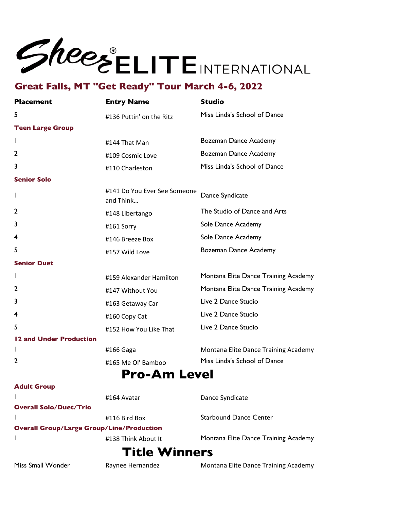

| <b>Placement</b>        | <b>Entry Name</b>                         | <b>Studio</b>                        |
|-------------------------|-------------------------------------------|--------------------------------------|
| 5                       | #136 Puttin' on the Ritz                  | Miss Linda's School of Dance         |
| <b>Teen Large Group</b> |                                           |                                      |
| $\mathbf{I}$            | #144 That Man                             | <b>Bozeman Dance Academy</b>         |
| $\overline{2}$          | #109 Cosmic Love                          | <b>Bozeman Dance Academy</b>         |
| 3                       | #110 Charleston                           | Miss Linda's School of Dance         |
| <b>Senior Solo</b>      |                                           |                                      |
| L                       | #141 Do You Ever See Someone<br>and Think | Dance Syndicate                      |
| $\overline{2}$          | #148 Libertango                           | The Studio of Dance and Arts         |
| 3                       | #161 Sorry                                | Sole Dance Academy                   |
| 4                       | #146 Breeze Box                           | Sole Dance Academy                   |
| 5                       | #157 Wild Love                            | <b>Bozeman Dance Academy</b>         |
| <b>Senior Duet</b>      |                                           |                                      |
|                         | #159 Alexander Hamilton                   | Montana Elite Dance Training Academy |
| $\overline{2}$          | #147 Without You                          | Montana Elite Dance Training Academy |
| 3                       | #163 Getaway Car                          | Live 2 Dance Studio                  |
| 4                       | #160 Copy Cat                             | Live 2 Dance Studio                  |
| 5                       | #152 How You Like That                    | Live 2 Dance Studio                  |
| 12 and Under Production |                                           |                                      |
| L                       | #166 Gaga                                 | Montana Elite Dance Training Academy |
| 2                       | #165 Me Ol' Bamboo                        | Miss Linda's School of Dance         |
|                         | <b>Pro-Am Level</b>                       |                                      |

### **Adult Group**

| <b>Title Winners</b>          |                                                  |                                      |
|-------------------------------|--------------------------------------------------|--------------------------------------|
|                               | #138 Think About It                              | Montana Elite Dance Training Academy |
|                               | <b>Overall Group/Large Group/Line/Production</b> |                                      |
|                               | #116 Bird Box                                    | <b>Starbound Dance Center</b>        |
| <b>Overall Solo/Duet/Trio</b> |                                                  |                                      |
|                               | #164 Avatar                                      | Dance Syndicate                      |

Miss Small Wonder **Raynee Hernandez** Montana Elite Dance Training Academy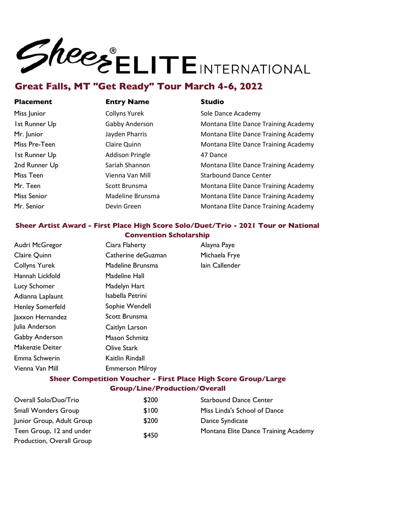

### **Placement Entry Name Studio**

Miss Junior **Nition** Collyns Yurek **Sole Dance Academy** Ist Runner Up **Gabby Anderson** Montana Elite Dance Training Academy Mr. Junior **Mr. Junior** Jayden Pharris **Montana Elite Dance Training Academy** Miss Pre-Teen **Claire Quinn** Claire Quinn Montana Elite Dance Training Academy **1st Runner Up 19 Addison Pringle 19 Addison Pringle** 47 Dance 2nd Runner Up **Sariah Shannon** Montana Elite Dance Training Academy Miss Teen **Starbound** Dance Center Vienna Van Mill Starbound Dance Center Mr. Teen Scott Brunsma Montana Elite Dance Training Academy Miss Senior **Madeline Brunsma** Montana Elite Dance Training Academy Mr. Senior **Edge Communist Chemical** Devin Green **Montana** Elite Dance Training Academy

## **Sheer Artist Award - First Place High Score Solo/Duet/Trio - 2021 Tour or National Convention Scholarship**

| Audri McGregor          | Ciara Flaherty         | Alayna Paye    |
|-------------------------|------------------------|----------------|
| Claire Quinn            | Catherine deGuzman     | Michaela Frye  |
| <b>Collyns Yurek</b>    | Madeline Brunsma       | lain Callender |
| Hannah Lickfold         | Madeline Hall          |                |
| Lucy Schomer            | Madelyn Hart           |                |
| Adianna Laplaunt        | Isabella Petrini       |                |
| <b>Henley Somerfeld</b> | Sophie Wendell         |                |
| Jaxxon Hernandez        | Scott Brunsma          |                |
| Julia Anderson          | Caitlyn Larson         |                |
| Gabby Anderson          | Mason Schmitz          |                |
| Makenzie Deiter         | Olive Stark            |                |
| Emma Schwerin           | Kaitlin Rindall        |                |
| Vienna Van Mill         | <b>Emmerson Milroy</b> |                |
|                         |                        |                |

## **Sheer Competition Voucher - First Place High Score Group/Large Group/Line/Production/Overall**

| Overall Solo/Duo/Trio      | \$200 | <b>Starbound Dance Center</b>        |
|----------------------------|-------|--------------------------------------|
| <b>Small Wonders Group</b> | \$100 | Miss Linda's School of Dance         |
| Junior Group, Adult Group  | \$200 | Dance Syndicate                      |
| Teen Group, 12 and under   | \$450 | Montana Elite Dance Training Academy |
| Production, Overall Group  |       |                                      |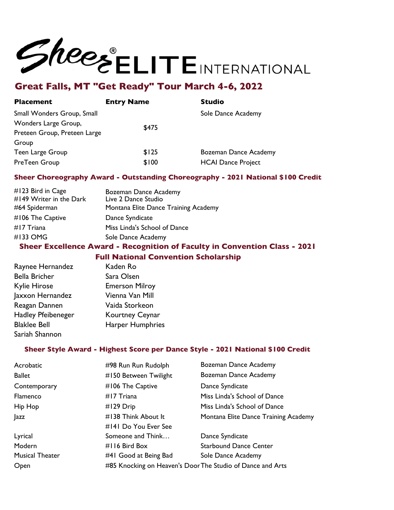

| <b>Placement</b>             | <b>Entry Name</b> | <b>Studio</b>             |
|------------------------------|-------------------|---------------------------|
| Small Wonders Group, Small   |                   | Sole Dance Academy        |
| Wonders Large Group,         | \$475             |                           |
| Preteen Group, Preteen Large |                   |                           |
| Group                        |                   |                           |
| Teen Large Group             | \$125             | Bozeman Dance Academy     |
| PreTeen Group                | \$100             | <b>HCAI Dance Project</b> |

### **Sheer Choreography Award - Outstanding Choreography - 2021 National \$100 Credit**

| #123 Bird in Cage       | Bozeman Dance Academy                |
|-------------------------|--------------------------------------|
| #149 Writer in the Dark | Live 2 Dance Studio                  |
| #64 Spiderman           | Montana Elite Dance Training Academy |
| $\#$ 106 The Captive    | Dance Syndicate                      |
| #17 Triana              | Miss Linda's School of Dance         |
| #133 OMG                | Sole Dance Academy                   |
|                         |                                      |

## **Sheer Excellence Award - Recognition of Faculty in Convention Class - 2021**

**Full National Convention Scholarship**

| Raynee Hernandez     | Kaden Ro              |  |
|----------------------|-----------------------|--|
| <b>Bella Bricher</b> | Sara Olsen            |  |
| Kylie Hirose         | <b>Emerson Milroy</b> |  |
| Jaxxon Hernandez     | Vienna Van Mill       |  |
| Reagan Dannen        | Vaida Storkeon        |  |
| Hadley Pfeibeneger   | Kourtney Ceynar       |  |
| <b>Blaklee Bell</b>  | Harper Humphries      |  |
| Sariah Shannon       |                       |  |

### **Sheer Style Award - Highest Score per Dance Style - 2021 National \$100 Credit**

| #98 Run Run Rudolph                                        | Bozeman Dance Academy                |
|------------------------------------------------------------|--------------------------------------|
| #150 Between Twilight                                      | Bozeman Dance Academy                |
| #106 The Captive                                           | Dance Syndicate                      |
| $#17$ Triana                                               | Miss Linda's School of Dance         |
| $#129$ Drip                                                | Miss Linda's School of Dance         |
| #138 Think About It                                        | Montana Elite Dance Training Academy |
| #141 Do You Ever See                                       |                                      |
| Someone and Think                                          | Dance Syndicate                      |
| $\#$ I 16 Bird Box                                         | <b>Starbound Dance Center</b>        |
| #41 Good at Being Bad                                      | Sole Dance Academy                   |
| #85 Knocking on Heaven's Door The Studio of Dance and Arts |                                      |
|                                                            |                                      |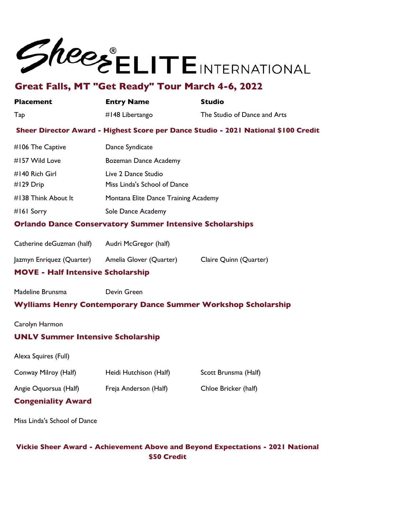

| <b>Placement</b>                                                                   | <b>Entry Name</b>                                   | <b>Studio</b>                |  |  |
|------------------------------------------------------------------------------------|-----------------------------------------------------|------------------------------|--|--|
| Tap                                                                                | #148 Libertango                                     | The Studio of Dance and Arts |  |  |
| Sheer Director Award - Highest Score per Dance Studio - 2021 National \$100 Credit |                                                     |                              |  |  |
| #106 The Captive                                                                   | Dance Syndicate                                     |                              |  |  |
| #157 Wild Love                                                                     | Bozeman Dance Academy                               |                              |  |  |
| #140 Rich Girl<br>#129 Drip                                                        | Live 2 Dance Studio<br>Miss Linda's School of Dance |                              |  |  |
| #138 Think About It                                                                | Montana Elite Dance Training Academy                |                              |  |  |
| #161 Sorry                                                                         | Sole Dance Academy                                  |                              |  |  |
| <b>Orlando Dance Conservatory Summer Intensive Scholarships</b>                    |                                                     |                              |  |  |
| Catherine deGuzman (half)                                                          | Audri McGregor (half)                               |                              |  |  |
| Jazmyn Enriquez (Quarter) Amelia Glover (Quarter)                                  |                                                     | Claire Quinn (Quarter)       |  |  |
| <b>MOVE - Half Intensive Scholarship</b>                                           |                                                     |                              |  |  |
| Madeline Brunsma                                                                   | Devin Green                                         |                              |  |  |
| <b>Wylliams Henry Contemporary Dance Summer Workshop Scholarship</b>               |                                                     |                              |  |  |
| Carolyn Harmon                                                                     |                                                     |                              |  |  |
| <b>UNLV Summer Intensive Scholarship</b>                                           |                                                     |                              |  |  |
| Alexa Squires (Full)                                                               |                                                     |                              |  |  |
| Conway Milroy (Half)                                                               | Heidi Hutchison (Half)                              | Scott Brunsma (Half)         |  |  |

## Angie Oquorsua (Half) Freja Anderson (Half) Chloe Bricker (half) **Congeniality Award**

Miss Linda's School of Dance

## **Vickie Sheer Award - Achievement Above and Beyond Expectations - 2021 National \$50 Credit**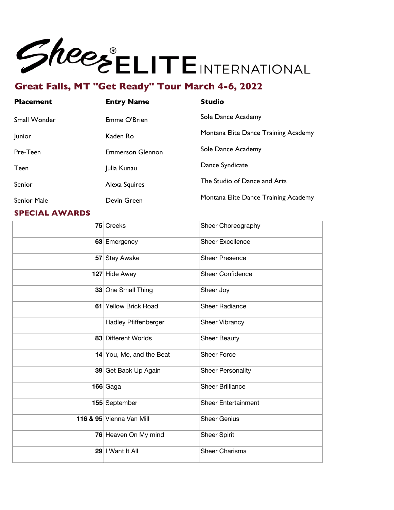

| <b>Entry Name</b>       | <b>Studio</b>                        |
|-------------------------|--------------------------------------|
| Emme O'Brien            | Sole Dance Academy                   |
| Kaden Ro                | Montana Elite Dance Training Academy |
| <b>Emmerson Glennon</b> | Sole Dance Academy                   |
| Julia Kunau             | Dance Syndicate                      |
| Alexa Squires           | The Studio of Dance and Arts         |
| Devin Green             | Montana Elite Dance Training Academy |
|                         |                                      |

## **SPECIAL AWARDS**

|    | 75 Creeks                | Sheer Choreography         |
|----|--------------------------|----------------------------|
|    | 63 Emergency             | <b>Sheer Excellence</b>    |
|    | 57 Stay Awake            | <b>Sheer Presence</b>      |
|    | 127 Hide Away            | <b>Sheer Confidence</b>    |
|    | 33 One Small Thing       | Sheer Joy                  |
| 61 | <b>Yellow Brick Road</b> | <b>Sheer Radiance</b>      |
|    | Hadley Pfiffenberger     | Sheer Vibrancy             |
|    | 83 Different Worlds      | <b>Sheer Beauty</b>        |
|    | 14 You, Me, and the Beat | <b>Sheer Force</b>         |
|    | 39 Get Back Up Again     | <b>Sheer Personality</b>   |
|    | $166$ Gaga               | <b>Sheer Brilliance</b>    |
|    | 155 September            | <b>Sheer Entertainment</b> |
|    | 116 & 95 Vienna Van Mill | <b>Sheer Genius</b>        |
|    | 76 Heaven On My mind     | <b>Sheer Spirit</b>        |
|    | 29 I Want It All         | Sheer Charisma             |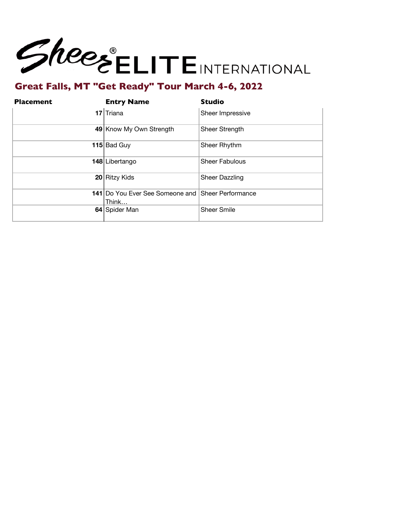

| <b>Entry Name</b> | <b>Studio</b>                                                                                                                                                        |
|-------------------|----------------------------------------------------------------------------------------------------------------------------------------------------------------------|
|                   | Sheer Impressive                                                                                                                                                     |
|                   | Sheer Strength                                                                                                                                                       |
|                   | Sheer Rhythm                                                                                                                                                         |
|                   | <b>Sheer Fabulous</b>                                                                                                                                                |
|                   | Sheer Dazzling                                                                                                                                                       |
| Think             |                                                                                                                                                                      |
|                   | <b>Sheer Smile</b>                                                                                                                                                   |
|                   | $17$ Triana<br>49 Know My Own Strength<br>115Bad Guy<br>148 Libertango<br>20 Ritzy Kids<br><b>141</b> Do You Ever See Someone and Sheer Performance<br>64 Spider Man |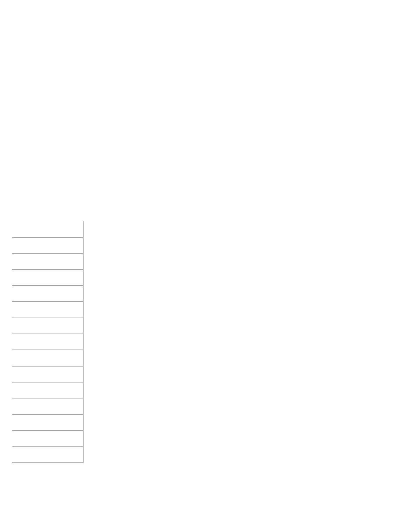